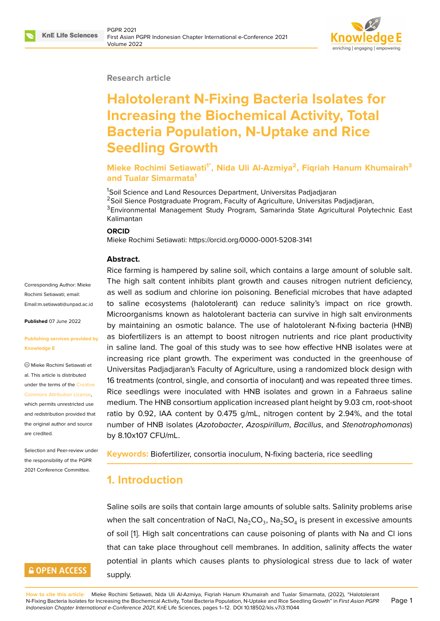

#### **Research article**

# **Halotolerant N-Fixing Bacteria Isolates for Increasing the Biochemical Activity, Total Bacteria Population, N-Uptake and Rice Seedling Growth**

**Mieke Rochimi Setiawati1\*, Nida Uli Al-Azmiya<sup>2</sup> , Fiqriah Hanum Khumairah<sup>3</sup> and Tualar Simarmata<sup>1</sup>**

<sup>1</sup>Soil Science and Land Resources Department, Universitas Padjadjaran <sup>2</sup>Soil Sience Postgraduate Program, Faculty of Agriculture, Universitas Padjadjaran, <sup>3</sup>Environmental Management Study Program, Samarinda State Agricultural Polytechnic East Kalimantan

#### **ORCID**

Mieke Rochimi Setiawati: https://orcid.org/0000-0001-5208-3141

#### **Abstract.**

Rice farming is hampered by saline soil, which contains a large amount of soluble salt. The high salt content inhibits plant growth and causes nitrogen nutrient deficiency, as well as sodium and chlorine ion poisoning. Beneficial microbes that have adapted to saline ecosystems (halotolerant) can reduce salinity's impact on rice growth. Microorganisms known as halotolerant bacteria can survive in high salt environments by maintaining an osmotic balance. The use of halotolerant N-fixing bacteria (HNB) as biofertilizers is an attempt to boost nitrogen nutrients and rice plant productivity in saline land. The goal of this study was to see how effective HNB isolates were at increasing rice plant growth. The experiment was conducted in the greenhouse of Universitas Padjadjaran's Faculty of Agriculture, using a randomized block design with 16 treatments (control, single, and consortia of inoculant) and was repeated three times. Rice seedlings were inoculated with HNB isolates and grown in a Fahraeus saline medium. The HNB consortium application increased plant height by 9.03 cm, root-shoot ratio by 0.92, IAA content by 0.475 g/mL, nitrogen content by 2.94%, and the total number of HNB isolates (*Azotobacter*, *Azospirillum*, *Bacillus*, and *Stenotrophomonas*) by 8.10x107 CFU/mL.

**Keywords:** Biofertilizer, consortia inoculum, N-fixing bacteria, rice seedling

## **1. Introduction**

Saline soils are soils that contain large amounts of soluble salts. Salinity problems arise when the salt concentration of NaCl, Na $_2$ CO $_3$ , Na $_2$ SO $_4$  is present in excessive amounts of soil [1]. High salt concentrations can cause poisoning of plants with Na and Cl ions that can take place throughout cell membranes. In addition, salinity affects the water potential in plants which causes plants to physiological stress due to lack of water supply.

Corresponding Author: Mieke Rochimi Setiawati; email: Email:m.setiawati@unpad.ac.id

**Published** 07 June 2022

#### **[Publishing services provided b](mailto:Email:m.setiawati@unpad.ac.id)y Knowledge E**

Mieke Rochimi Setiawati et al. This article is distributed under the terms of the Creative Commons Attribution License,

which permits unrestricted use and redistribution provided that the original author and [source](https://creativecommons.org/licenses/by/4.0/) [are credited.](https://creativecommons.org/licenses/by/4.0/)

Selection and Peer-review under the responsibility of the PGPR 2021 Conference Committee.

# **GOPEN ACCESS**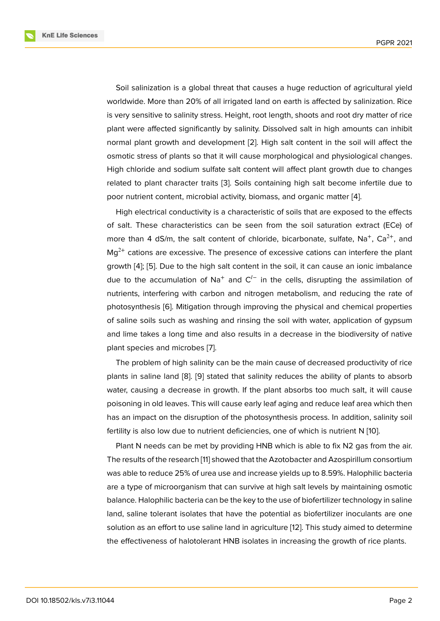Soil salinization is a global threat that causes a huge reduction of agricultural yield worldwide. More than 20% of all irrigated land on earth is affected by salinization. Rice is very sensitive to salinity stress. Height, root length, shoots and root dry matter of rice plant were affected significantly by salinity. Dissolved salt in high amounts can inhibit normal plant growth and development [2]. High salt content in the soil will affect the osmotic stress of plants so that it will cause morphological and physiological changes. High chloride and sodium sulfate salt content will affect plant growth due to changes related to plant character traits [3]. Soil[s c](#page-9-0)ontaining high salt become infertile due to poor nutrient content, microbial activity, biomass, and organic matter [4].

High electrical conductivity is a characteristic of soils that are exposed to the effects of salt. These characteristics c[an](#page-9-1) be seen from the soil saturation extract (ECe) of more than 4 dS/m, the salt content of chloride, bicarbonate, sulfate,  $Na^+$ ,  $Ca^{2+}$ , and  $Mq^{2+}$  cations are excessive. The presence of excessive cations can interfere the plant growth [4]; [5]. Due to the high salt content in the soil, it can cause an ionic imbalance due to the accumulation of Na<sup>+</sup> and  $C^{I-}$  in the cells, disrupting the assimilation of nutrients, interfering with carbon and nitrogen metabolism, and reducing the rate of photosy[nt](#page-9-2)h[es](#page-9-3)is [6]. Mitigation through improving the physical and chemical properties of saline soils such as washing and rinsing the soil with water, application of gypsum and lime takes a long time and also results in a decrease in the biodiversity of native plant species a[nd](#page-9-4) microbes [7].

The problem of high salinity can be the main cause of decreased productivity of rice plants in saline land [8]. [9] stated that salinity reduces the ability of plants to absorb water, causing a decrease i[n](#page-9-5) growth. If the plant absorbs too much salt, it will cause poisoning in old leaves. This will cause early leaf aging and reduce leaf area which then has an impact on the [d](#page-9-6)isr[up](#page-9-7)tion of the photosynthesis process. In addition, salinity soil fertility is also low due to nutrient deficiencies, one of which is nutrient N [10].

Plant N needs can be met by providing HNB which is able to fix N2 gas from the air. The results of the research [11] showed that the Azotobacter and Azospirillum consortium was able to reduce 25% of urea use and increase yields up to 8.59%. Halop[hili](#page-10-0)c bacteria are a type of microorganism that can survive at high salt levels by maintaining osmotic balance. Halophilic bacteri[a c](#page-10-1)an be the key to the use of biofertilizer technology in saline land, saline tolerant isolates that have the potential as biofertilizer inoculants are one solution as an effort to use saline land in agriculture [12]. This study aimed to determine the effectiveness of halotolerant HNB isolates in increasing the growth of rice plants.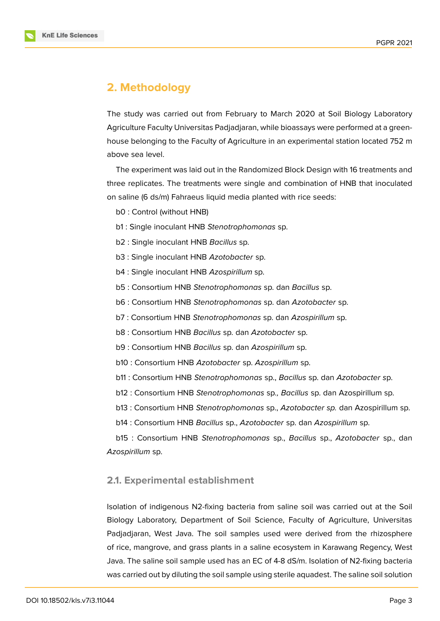

# **2. Methodology**

The study was carried out from February to March 2020 at Soil Biology Laboratory Agriculture Faculty Universitas Padjadjaran, while bioassays were performed at a greenhouse belonging to the Faculty of Agriculture in an experimental station located 752 m above sea level.

The experiment was laid out in the Randomized Block Design with 16 treatments and three replicates. The treatments were single and combination of HNB that inoculated on saline (6 ds/m) Fahraeus liquid media planted with rice seeds:

- b0 : Control (without HNB)
- b1 : Single inoculant HNB *Stenotrophomonas* sp.
- b2 : Single inoculant HNB *Bacillus* sp.
- b3 : Single inoculant HNB *Azotobacter* sp.
- b4 : Single inoculant HNB *Azospirillum* sp.
- b5 : Consortium HNB *Stenotrophomonas* sp. dan *Bacillus* sp.
- b6 : Consortium HNB *Stenotrophomonas* sp. dan *Azotobacter* sp.
- b7 : Consortium HNB *Stenotrophomonas* sp. dan *Azospirillum* sp.
- b8 : Consortium HNB *Bacillus* sp. dan *Azotobacter* sp.
- b9 : Consortium HNB *Bacillus* sp. dan *Azospirillum* sp.
- b10 : Consortium HNB *Azotobacter* sp. *Azospirillum* sp.
- b11 : Consortium HNB *Stenotrophomonas* sp., *Bacillus* sp. dan *Azotobacter s*p.
- b12 : Consortium HNB *Stenotrophomonas* sp*., Bacillus* sp. dan Azospirillum sp.
- b13 : Consortium HNB *Stenotrophomonas* sp., *Azotobacter sp.* dan Azospirillum sp.
- b14 : Consortium HNB *Bacillus* sp., *Azotobacter* sp. dan *Azospirillum* sp.

b15 : Consortium HNB *Stenotrophomonas* sp., *Bacillus* sp., *Azotobacter* sp., dan *Azospirillum* sp.

## **2.1. Experimental establishment**

Isolation of indigenous N2-fixing bacteria from saline soil was carried out at the Soil Biology Laboratory, Department of Soil Science, Faculty of Agriculture, Universitas Padjadjaran, West Java. The soil samples used were derived from the rhizosphere of rice, mangrove, and grass plants in a saline ecosystem in Karawang Regency, West Java. The saline soil sample used has an EC of 4-8 dS/m. Isolation of N2-fixing bacteria was carried out by diluting the soil sample using sterile aquadest. The saline soil solution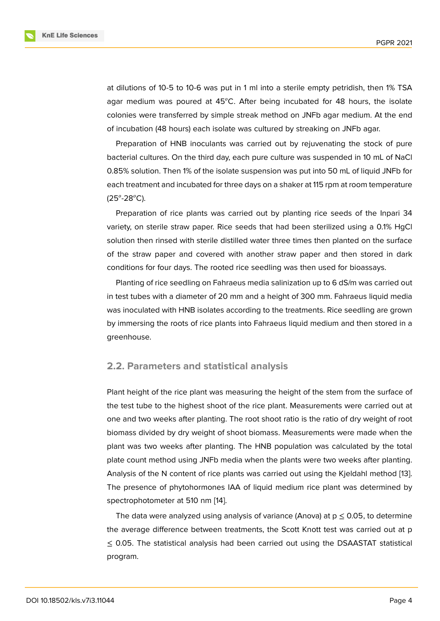at dilutions of 10-5 to 10-6 was put in 1 ml into a sterile empty petridish, then 1% TSA agar medium was poured at  $45^{\circ}$ C. After being incubated for 48 hours, the isolate colonies were transferred by simple streak method on JNFb agar medium. At the end of incubation (48 hours) each isolate was cultured by streaking on JNFb agar.

Preparation of HNB inoculants was carried out by rejuvenating the stock of pure bacterial cultures. On the third day, each pure culture was suspended in 10 mL of NaCl 0.85% solution. Then 1% of the isolate suspension was put into 50 mL of liquid JNFb for each treatment and incubated for three days on a shaker at 115 rpm at room temperature  $(25^{\circ} - 28^{\circ}C)$ .

Preparation of rice plants was carried out by planting rice seeds of the Inpari 34 variety, on sterile straw paper. Rice seeds that had been sterilized using a 0.1% HgCl solution then rinsed with sterile distilled water three times then planted on the surface of the straw paper and covered with another straw paper and then stored in dark conditions for four days. The rooted rice seedling was then used for bioassays.

Planting of rice seedling on Fahraeus media salinization up to 6 dS/m was carried out in test tubes with a diameter of 20 mm and a height of 300 mm. Fahraeus liquid media was inoculated with HNB isolates according to the treatments. Rice seedling are grown by immersing the roots of rice plants into Fahraeus liquid medium and then stored in a greenhouse.

## **2.2. Parameters and statistical analysis**

Plant height of the rice plant was measuring the height of the stem from the surface of the test tube to the highest shoot of the rice plant. Measurements were carried out at one and two weeks after planting. The root shoot ratio is the ratio of dry weight of root biomass divided by dry weight of shoot biomass. Measurements were made when the plant was two weeks after planting. The HNB population was calculated by the total plate count method using JNFb media when the plants were two weeks after planting. Analysis of the N content of rice plants was carried out using the Kjeldahl method [13]. The presence of phytohormones IAA of liquid medium rice plant was determined by spectrophotometer at 510 nm [14].

The data were analyzed using analysis of variance (Anova) at  $p \le 0.05$ , to deter[mine](#page-10-2) the average difference between treatments, the Scott Knott test was carried out at p ≤ 0.05. The statistical analysi[s h](#page-10-3)ad been carried out using the DSAASTAT statistical program.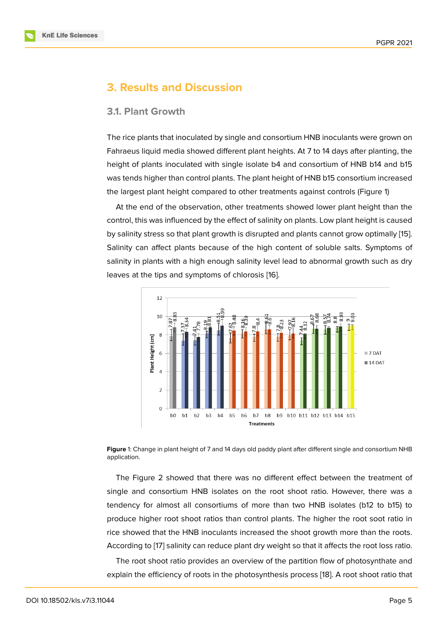## **3. Results and Discussion**

#### **3.1. Plant Growth**

The rice plants that inoculated by single and consortium HNB inoculants were grown on Fahraeus liquid media showed different plant heights. At 7 to 14 days after planting, the height of plants inoculated with single isolate b4 and consortium of HNB b14 and b15 was tends higher than control plants. The plant height of HNB b15 consortium increased the largest plant height compared to other treatments against controls (Figure 1)

At the end of the observation, other treatments showed lower plant height than the control, this was influenced by the effect of salinity on plants. Low plant height is caused by salinity stress so that plant growth is disrupted and plants cannot grow opti[ma](#page-4-0)lly [15]. Salinity can affect plants because of the high content of soluble salts. Symptoms of salinity in plants with a high enough salinity level lead to abnormal growth such as dry leaves at the tips and symptoms of chlorosis [16].





<span id="page-4-0"></span>The Figure 2 showed that there was no different effect between the treatment of single and consortium HNB isolates on the root shoot ratio. However, there was a tendency for almost all consortiums of more than two HNB isolates (b12 to b15) to produce high[er](#page-5-0) root shoot ratios than control plants. The higher the root soot ratio in rice showed that the HNB inoculants increased the shoot growth more than the roots. According to [17] salinity can reduce plant dry weight so that it affects the root loss ratio.

The root shoot ratio provides an overview of the partition flow of photosynthate and explain the ef[fic](#page-10-4)iency of roots in the photosynthesis process [18]. A root shoot ratio that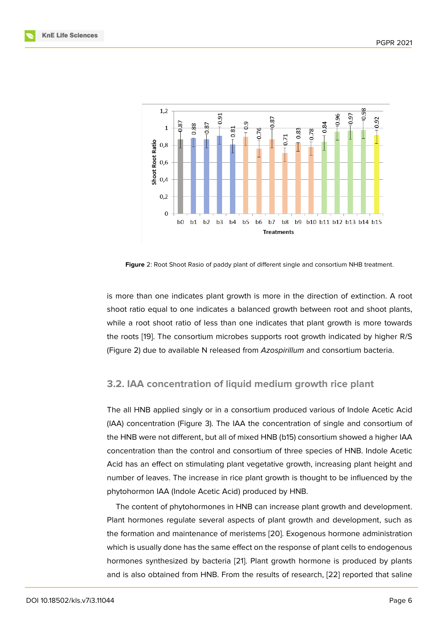

<span id="page-5-0"></span>**Figure** 2: Root Shoot Rasio of paddy plant of different single and consortium NHB treatment.

is more than one indicates plant growth is more in the direction of extinction. A root shoot ratio equal to one indicates a balanced growth between root and shoot plants, while a root shoot ratio of less than one indicates that plant growth is more towards the roots [19]. The consortium microbes supports root growth indicated by higher R/S (Figure 2) due to available N released from *Azospirillum* and consortium bacteria.

### **3.2. I[AA](#page-5-0) concentration of liquid medium growth rice plant**

The all HNB applied singly or in a consortium produced various of Indole Acetic Acid (IAA) concentration (Figure 3). The IAA the concentration of single and consortium of the HNB were not different, but all of mixed HNB (b15) consortium showed a higher IAA concentration than the control and consortium of three species of HNB. Indole Acetic Acid has an effect on stimu[la](#page-6-0)ting plant vegetative growth, increasing plant height and number of leaves. The increase in rice plant growth is thought to be influenced by the phytohormon IAA (Indole Acetic Acid) produced by HNB.

The content of phytohormones in HNB can increase plant growth and development. Plant hormones regulate several aspects of plant growth and development, such as the formation and maintenance of meristems [20]. Exogenous hormone administration which is usually done has the same effect on the response of plant cells to endogenous hormones synthesized by bacteria [21]. Plant growth hormone is produced by plants and is also obtained from HNB. From the res[ults](#page-10-5) of research, [22] reported that saline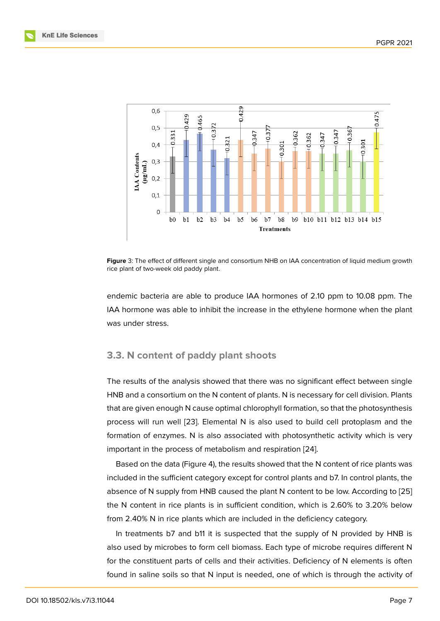

**Figure** 3: The effect of different single and consortium NHB on IAA concentration of liquid medium growth rice plant of two-week old paddy plant.

<span id="page-6-0"></span>endemic bacteria are able to produce IAA hormones of 2.10 ppm to 10.08 ppm. The IAA hormone was able to inhibit the increase in the ethylene hormone when the plant was under stress.

### **3.3. N content of paddy plant shoots**

The results of the analysis showed that there was no significant effect between single HNB and a consortium on the N content of plants. N is necessary for cell division. Plants that are given enough N cause optimal chlorophyll formation, so that the photosynthesis process will run well [23]. Elemental N is also used to build cell protoplasm and the formation of enzymes. N is also associated with photosynthetic activity which is very important in the process of metabolism and respiration [24].

Based on the data ([Figu](#page-11-0)re 4), the results showed that the N content of rice plants was included in the sufficient category except for control plants and b7. In control plants, the absence of N supply from HNB caused the plant N cont[ent](#page-11-1) to be low. According to [25] the N content in rice plants [is](#page-7-0) in sufficient condition, which is 2.60% to 3.20% below from 2.40% N in rice plants which are included in the deficiency category.

In treatments b7 and b11 it is suspected that the supply of N provided by HN[B is](#page-11-2) also used by microbes to form cell biomass. Each type of microbe requires different N for the constituent parts of cells and their activities. Deficiency of N elements is often found in saline soils so that N input is needed, one of which is through the activity of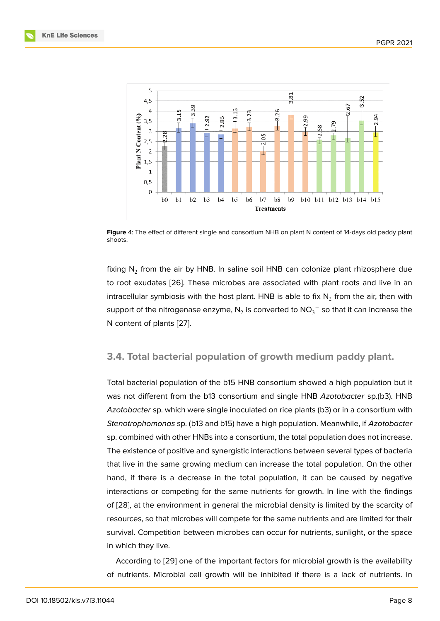

**Figure** 4: The effect of different single and consortium NHB on plant N content of 14-days old paddy plant shoots.

<span id="page-7-0"></span>fixing  $\mathsf{N}_2$  from the air by HNB. In saline soil HNB can colonize plant rhizosphere due to root exudates [26]. These microbes are associated with plant roots and live in an intracellular symbiosis with the host plant.  ${\sf HNB}$  is able to fix  ${\sf N}_2$  from the air, then with support of the nitrogenase enzyme,  $\mathsf{N}_2$  is converted to  $\mathsf{NO_3}^-$  so that it can increase the N content of plant[s \[2](#page-11-3)7].

## **3.4. Total bacte[ria](#page-11-4)l population of growth medium paddy plant.**

Total bacterial population of the b15 HNB consortium showed a high population but it was not different from the b13 consortium and single HNB *Azotobacter* sp.(b3). HNB *Azotobacter* sp. which were single inoculated on rice plants (b3) or in a consortium with *Stenotrophomonas* sp. (b13 and b15) have a high population. Meanwhile, if *Azotobacter* sp. combined with other HNBs into a consortium, the total population does not increase. The existence of positive and synergistic interactions between several types of bacteria that live in the same growing medium can increase the total population. On the other hand, if there is a decrease in the total population, it can be caused by negative interactions or competing for the same nutrients for growth. In line with the findings of [28], at the environment in general the microbial density is limited by the scarcity of resources, so that microbes will compete for the same nutrients and are limited for their survival. Competition between microbes can occur for nutrients, sunlight, or the space in [whi](#page-11-5)ch they live.

According to [29] one of the important factors for microbial growth is the availability of nutrients. Microbial cell growth will be inhibited if there is a lack of nutrients. In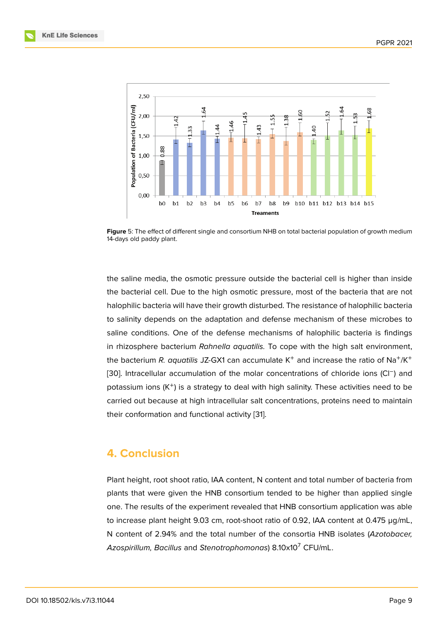

**Figure** 5: The effect of different single and consortium NHB on total bacterial population of growth medium 14-days old paddy plant.

the saline media, the osmotic pressure outside the bacterial cell is higher than inside the bacterial cell. Due to the high osmotic pressure, most of the bacteria that are not halophilic bacteria will have their growth disturbed. The resistance of halophilic bacteria to salinity depends on the adaptation and defense mechanism of these microbes to saline conditions. One of the defense mechanisms of halophilic bacteria is findings in rhizosphere bacterium *Rahnella aquatilis.* To cope with the high salt environment, the bacterium *R. aquatilis JZ-GX1* can accumulate K<sup>+</sup> and increase the ratio of Na<sup>+</sup>/K<sup>+</sup> [30]. Intracellular accumulation of the molar concentrations of chloride ions (Cl<sup>-</sup>) and potassium ions  $(K^{+})$  is a strategy to deal with high salinity. These activities need to be carried out because at high intracellular salt concentrations, proteins need to maintain [the](#page-11-6)ir conformation and functional activity [31].

## **4. Conclusion**

Plant height, root shoot ratio, IAA content, N content and total number of bacteria from plants that were given the HNB consortium tended to be higher than applied single one. The results of the experiment revealed that HNB consortium application was able to increase plant height 9.03 cm, root-shoot ratio of 0.92, IAA content at 0.475 µg/mL, N content of 2.94% and the total number of the consortia HNB isolates (*Azotobacer, Azospirillum, Bacillus* and *Stenotrophomonas*) 8.10x10<sup>7</sup> CFU/mL.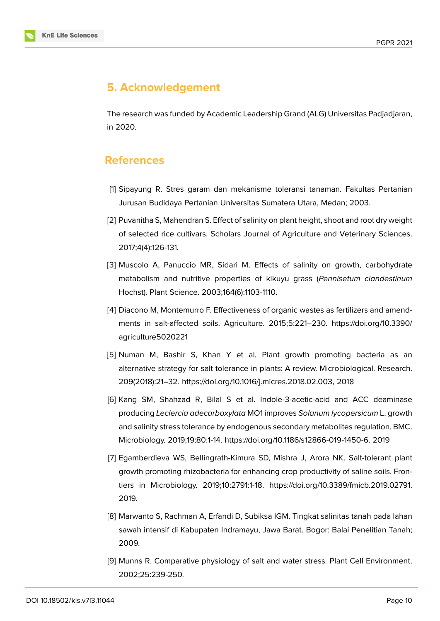

# **5. Acknowledgement**

The research was funded by Academic Leadership Grand (ALG) Universitas Padjadjaran, in 2020.

## **References**

- [1] Sipayung R. Stres garam dan mekanisme toleransi tanaman*.* Fakultas Pertanian Jurusan Budidaya Pertanian Universitas Sumatera Utara, Medan; 2003.
- <span id="page-9-0"></span>[2] Puvanitha S, Mahendran S. Effect of salinity on plant height, shoot and root dry weight of selected rice cultivars. Scholars Journal of Agriculture and Veterinary Sciences. 2017;4(4):126-131.
- <span id="page-9-1"></span>[3] Muscolo A, Panuccio MR, Sidari M. Effects of salinity on growth, carbohydrate metabolism and nutritive properties of kikuyu grass (*Pennisetum clandestinum* Hochst). Plant Science. 2003;164(6):1103-1110.
- <span id="page-9-2"></span>[4] Diacono M, Montemurro F. Effectiveness of organic wastes as fertilizers and amendments in salt-affected soils. Agriculture. 2015;5:221–230. https://doi.org/10.3390/ agriculture5020221
- <span id="page-9-3"></span>[5] Numan M, Bashir S, Khan Y et al. Plant growth promoting bacteria as an alternative strategy for salt tolerance in plants: A review. Microbiological. Research. 209(2018):21–32. https://doi.org/10.1016/j.micres.2018.02.003, 2018
- <span id="page-9-4"></span>[6] Kang SM, Shahzad R, Bilal S et al. Indole-3-acetic-acid and ACC deaminase producing *Leclercia adecarboxylata* MO1 improves *Solanum lycopersicum* L. growth and salinity stress tolerance by endogenous secondary metabolites regulation. BMC. Microbiology. 2019;19:80:1-14. https://doi.org/10.1186/s12866-019-1450-6. 2019
- <span id="page-9-5"></span>[7] Egamberdieva WS, Bellingrath-Kimura SD, Mishra J, Arora NK. Salt-tolerant plant growth promoting rhizobacteria for enhancing crop productivity of saline soils. Frontiers in Microbiology. 2019;10:2791:1-18. https://doi.org/10.3389/fmicb.2019.02791. 2019.
- <span id="page-9-6"></span>[8] Marwanto S, Rachman A, Erfandi D, Subiksa IGM. Tingkat salinitas tanah pada lahan sawah intensif di Kabupaten Indramayu, Jawa Barat. Bogor: Balai Penelitian Tanah; 2009.
- <span id="page-9-7"></span>[9] Munns R. Comparative physiology of salt and water stress. Plant Cell Environment. 2002;25:239-250.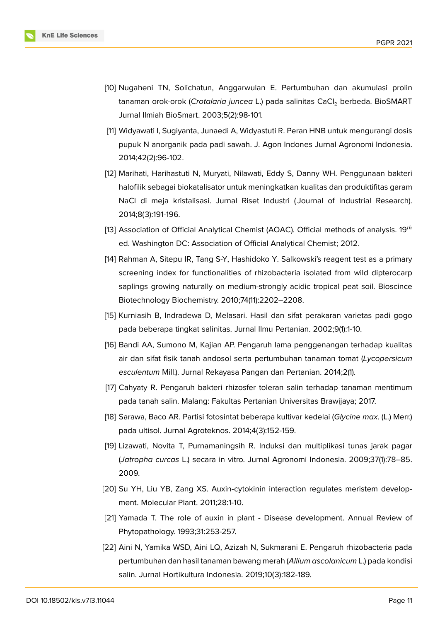

- <span id="page-10-0"></span>[10] Nugaheni TN, Solichatun, Anggarwulan E. Pertumbuhan dan akumulasi prolin tanaman orok-orok (*Crotalaria juncea* L.) pada salinitas CaCl<sub>2</sub> berbeda. BioSMART Jurnal Ilmiah BioSmart. 2003;5(2):98-101.
- <span id="page-10-1"></span>[11] Widyawati I, Sugiyanta, Junaedi A, Widyastuti R. Peran HNB untuk mengurangi dosis pupuk N anorganik pada padi sawah. J. Agon Indones Jurnal Agronomi Indonesia. 2014;42(2):96-102.
- [12] Marihati, Harihastuti N, Muryati, Nilawati, Eddy S, Danny WH. Penggunaan bakteri halofilik sebagai biokatalisator untuk meningkatkan kualitas dan produktifitas garam NaCl di meja kristalisasi. Jurnal Riset Industri ( Journal of Industrial Research). 2014;8(3):191-196.
- <span id="page-10-2"></span>[13] Association of Official Analytical Chemist (AOAC). Official methods of analysis.  $19^{th}$ ed. Washington DC: Association of Official Analytical Chemist; 2012.
- <span id="page-10-3"></span>[14] Rahman A, Sitepu IR, Tang S-Y, Hashidoko Y. Salkowski's reagent test as a primary screening index for functionalities of rhizobacteria isolated from wild dipterocarp saplings growing naturally on medium-strongly acidic tropical peat soil. Bioscince Biotechnology Biochemistry. 2010;74(11):2202–2208.
- [15] Kurniasih B, Indradewa D, Melasari. Hasil dan sifat perakaran varietas padi gogo pada beberapa tingkat salinitas. Jurnal Ilmu Pertanian. 2002;9(1):1-10.
- [16] Bandi AA, Sumono M, Kajian AP. Pengaruh lama penggenangan terhadap kualitas air dan sifat fisik tanah andosol serta pertumbuhan tanaman tomat (*Lycopersicum esculentum* Mill.). Jurnal Rekayasa Pangan dan Pertanian. 2014;2(1).
- <span id="page-10-4"></span>[17] Cahyaty R. Pengaruh bakteri rhizosfer toleran salin terhadap tanaman mentimum pada tanah salin. Malang: Fakultas Pertanian Universitas Brawijaya; 2017.
- [18] Sarawa, Baco AR. Partisi fotosintat beberapa kultivar kedelai (*Glycine max*. (L.) Merr.) pada ultisol. Jurnal Agroteknos. 2014;4(3):152-159.
- [19] Lizawati, Novita T, Purnamaningsih R. Induksi dan multiplikasi tunas jarak pagar (*Jatropha curcas* L.) secara in vitro. Jurnal Agronomi Indonesia. 2009;37(1):78–85. 2009.
- <span id="page-10-5"></span>[20] Su YH, Liu YB, Zang XS. Auxin-cytokinin interaction regulates meristem development. Molecular Plant. 2011;28:1-10.
- [21] Yamada T. The role of auxin in plant Disease development. Annual Review of Phytopathology. 1993;31:253-257.
- [22] Aini N, Yamika WSD, Aini LQ, Azizah N, Sukmarani E. Pengaruh rhizobacteria pada pertumbuhan dan hasil tanaman bawang merah (*Allium ascolanicum* L.) pada kondisi salin. Jurnal Hortikultura Indonesia. 2019;10(3):182-189.